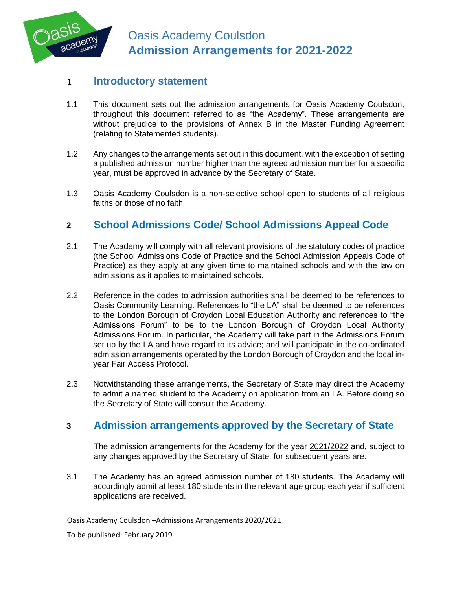

#### 1 **Introductory statement**

- 1.1 This document sets out the admission arrangements for Oasis Academy Coulsdon, throughout this document referred to as "the Academy". These arrangements are without prejudice to the provisions of Annex B in the Master Funding Agreement (relating to Statemented students).
- 1.2 Any changes to the arrangements set out in this document, with the exception of setting a published admission number higher than the agreed admission number for a specific year, must be approved in advance by the Secretary of State.
- 1.3 Oasis Academy Coulsdon is a non-selective school open to students of all religious faiths or those of no faith.

# **2 School Admissions Code/ School Admissions Appeal Code**

- 2.1 The Academy will comply with all relevant provisions of the statutory codes of practice (the School Admissions Code of Practice and the School Admission Appeals Code of Practice) as they apply at any given time to maintained schools and with the law on admissions as it applies to maintained schools.
- 2.2 Reference in the codes to admission authorities shall be deemed to be references to Oasis Community Learning. References to "the LA" shall be deemed to be references to the London Borough of Croydon Local Education Authority and references to "the Admissions Forum" to be to the London Borough of Croydon Local Authority Admissions Forum. In particular, the Academy will take part in the Admissions Forum set up by the LA and have regard to its advice; and will participate in the co-ordinated admission arrangements operated by the London Borough of Croydon and the local inyear Fair Access Protocol.
- 2.3 Notwithstanding these arrangements, the Secretary of State may direct the Academy to admit a named student to the Academy on application from an LA. Before doing so the Secretary of State will consult the Academy.

### **3 Admission arrangements approved by the Secretary of State**

The admission arrangements for the Academy for the year 2021/2022 and, subject to any changes approved by the Secretary of State, for subsequent years are:

3.1 The Academy has an agreed admission number of 180 students. The Academy will accordingly admit at least 180 students in the relevant age group each year if sufficient applications are received.

Oasis Academy Coulsdon –Admissions Arrangements 2020/2021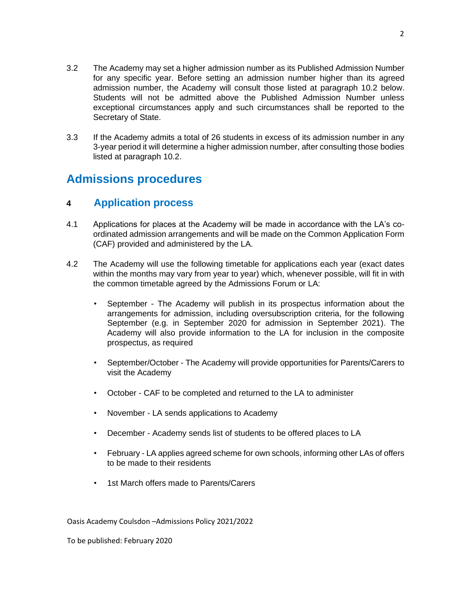- 3.2 The Academy may set a higher admission number as its Published Admission Number for any specific year. Before setting an admission number higher than its agreed admission number, the Academy will consult those listed at paragraph 10.2 below. Students will not be admitted above the Published Admission Number unless exceptional circumstances apply and such circumstances shall be reported to the Secretary of State.
- 3.3 If the Academy admits a total of 26 students in excess of its admission number in any 3-year period it will determine a higher admission number, after consulting those bodies listed at paragraph 10.2.

# **Admissions procedures**

#### **4 Application process**

- 4.1 Applications for places at the Academy will be made in accordance with the LA's coordinated admission arrangements and will be made on the Common Application Form (CAF) provided and administered by the LA.
- 4.2 The Academy will use the following timetable for applications each year (exact dates within the months may vary from year to year) which, whenever possible, will fit in with the common timetable agreed by the Admissions Forum or LA:
	- September The Academy will publish in its prospectus information about the arrangements for admission, including oversubscription criteria, for the following September (e.g. in September 2020 for admission in September 2021). The Academy will also provide information to the LA for inclusion in the composite prospectus, as required
	- September/October The Academy will provide opportunities for Parents/Carers to visit the Academy
	- October CAF to be completed and returned to the LA to administer
	- November LA sends applications to Academy
	- December Academy sends list of students to be offered places to LA
	- February LA applies agreed scheme for own schools, informing other LAs of offers to be made to their residents
	- 1st March offers made to Parents/Carers

Oasis Academy Coulsdon –Admissions Policy 2021/2022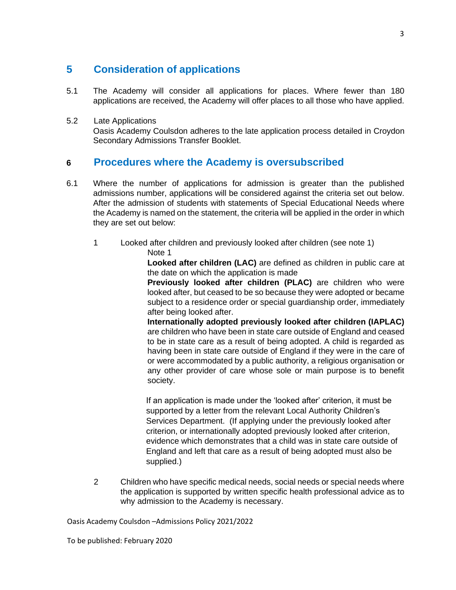# **5 Consideration of applications**

5.1 The Academy will consider all applications for places. Where fewer than 180 applications are received, the Academy will offer places to all those who have applied.

#### 5.2 Late Applications

Oasis Academy Coulsdon adheres to the late application process detailed in Croydon Secondary Admissions Transfer Booklet.

### **6 Procedures where the Academy is oversubscribed**

- 6.1 Where the number of applications for admission is greater than the published admissions number, applications will be considered against the criteria set out below. After the admission of students with statements of Special Educational Needs where the Academy is named on the statement, the criteria will be applied in the order in which they are set out below:
	- 1 Looked after children and previously looked after children (see note 1)
		- Note 1

**Looked after children (LAC)** are defined as children in public care at the date on which the application is made

**Previously looked after children (PLAC)** are children who were looked after, but ceased to be so because they were adopted or became subject to a residence order or special guardianship order, immediately after being looked after.

**Internationally adopted previously looked after children (IAPLAC)**  are children who have been in state care outside of England and ceased to be in state care as a result of being adopted. A child is regarded as having been in state care outside of England if they were in the care of or were accommodated by a public authority, a religious organisation or any other provider of care whose sole or main purpose is to benefit society.

If an application is made under the 'looked after' criterion, it must be supported by a letter from the relevant Local Authority Children's Services Department. (If applying under the previously looked after criterion, or internationally adopted previously looked after criterion, evidence which demonstrates that a child was in state care outside of England and left that care as a result of being adopted must also be supplied.)

2 Children who have specific medical needs, social needs or special needs where the application is supported by written specific health professional advice as to why admission to the Academy is necessary.

Oasis Academy Coulsdon –Admissions Policy 2021/2022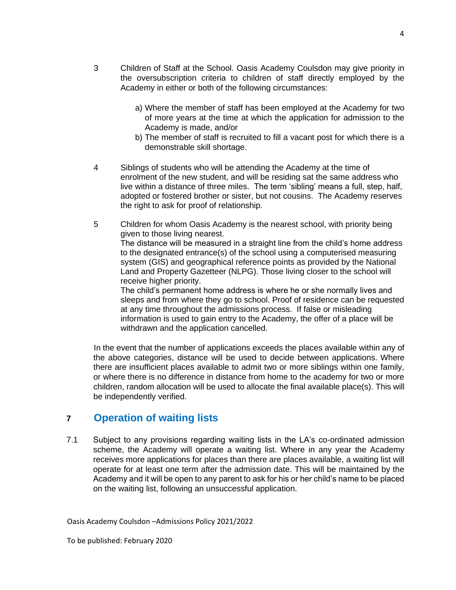- 3 Children of Staff at the School. Oasis Academy Coulsdon may give priority in the oversubscription criteria to children of staff directly employed by the Academy in either or both of the following circumstances:
	- a) Where the member of staff has been employed at the Academy for two of more years at the time at which the application for admission to the Academy is made, and/or
	- b) The member of staff is recruited to fill a vacant post for which there is a demonstrable skill shortage.
- 4 Siblings of students who will be attending the Academy at the time of enrolment of the new student, and will be residing sat the same address who live within a distance of three miles. The term 'sibling' means a full, step, half, adopted or fostered brother or sister, but not cousins. The Academy reserves the right to ask for proof of relationship.
- 5 Children for whom Oasis Academy is the nearest school, with priority being given to those living nearest. The distance will be measured in a straight line from the child's home address to the designated entrance(s) of the school using a computerised measuring system (GIS) and geographical reference points as provided by the National Land and Property Gazetteer (NLPG). Those living closer to the school will receive higher priority. The child's permanent home address is where he or she normally lives and

sleeps and from where they go to school. Proof of residence can be requested at any time throughout the admissions process. If false or misleading information is used to gain entry to the Academy, the offer of a place will be withdrawn and the application cancelled.

In the event that the number of applications exceeds the places available within any of the above categories, distance will be used to decide between applications. Where there are insufficient places available to admit two or more siblings within one family, or where there is no difference in distance from home to the academy for two or more children, random allocation will be used to allocate the final available place(s). This will be independently verified.

#### **7 Operation of waiting lists**

7.1 Subject to any provisions regarding waiting lists in the LA's co-ordinated admission scheme, the Academy will operate a waiting list. Where in any year the Academy receives more applications for places than there are places available, a waiting list will operate for at least one term after the admission date. This will be maintained by the Academy and it will be open to any parent to ask for his or her child's name to be placed on the waiting list, following an unsuccessful application.

Oasis Academy Coulsdon –Admissions Policy 2021/2022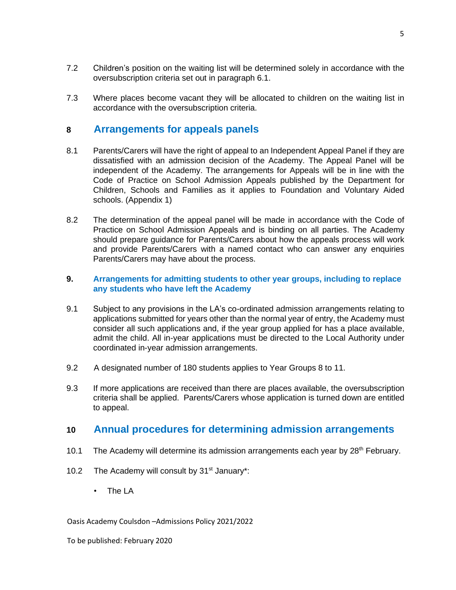- 7.2 Children's position on the waiting list will be determined solely in accordance with the oversubscription criteria set out in paragraph 6.1.
- 7.3 Where places become vacant they will be allocated to children on the waiting list in accordance with the oversubscription criteria.

#### **8 Arrangements for appeals panels**

- 8.1 Parents/Carers will have the right of appeal to an Independent Appeal Panel if they are dissatisfied with an admission decision of the Academy. The Appeal Panel will be independent of the Academy. The arrangements for Appeals will be in line with the Code of Practice on School Admission Appeals published by the Department for Children, Schools and Families as it applies to Foundation and Voluntary Aided schools. (Appendix 1)
- 8.2 The determination of the appeal panel will be made in accordance with the Code of Practice on School Admission Appeals and is binding on all parties. The Academy should prepare guidance for Parents/Carers about how the appeals process will work and provide Parents/Carers with a named contact who can answer any enquiries Parents/Carers may have about the process.

#### **9. Arrangements for admitting students to other year groups, including to replace any students who have left the Academy**

- 9.1 Subject to any provisions in the LA's co-ordinated admission arrangements relating to applications submitted for years other than the normal year of entry, the Academy must consider all such applications and, if the year group applied for has a place available, admit the child. All in-year applications must be directed to the Local Authority under coordinated in-year admission arrangements.
- 9.2 A designated number of 180 students applies to Year Groups 8 to 11.
- 9.3 If more applications are received than there are places available, the oversubscription criteria shall be applied. Parents/Carers whose application is turned down are entitled to appeal.

### **10 Annual procedures for determining admission arrangements**

- 10.1 The Academy will determine its admission arrangements each year by 28<sup>th</sup> February.
- 10.2 The Academy will consult by  $31<sup>st</sup>$  January\*:
	- The LA

#### Oasis Academy Coulsdon –Admissions Policy 2021/2022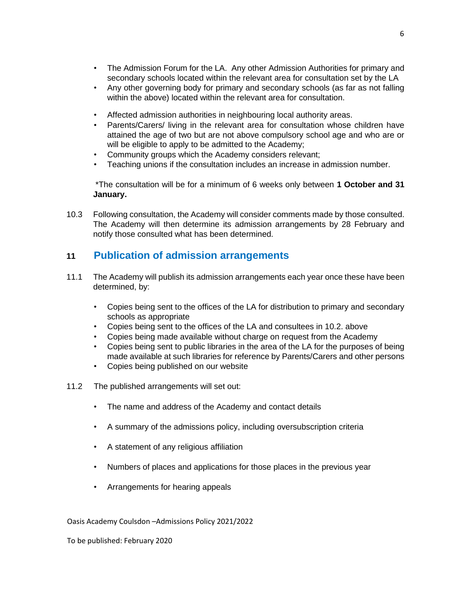- The Admission Forum for the LA. Any other Admission Authorities for primary and secondary schools located within the relevant area for consultation set by the LA
- Any other governing body for primary and secondary schools (as far as not falling within the above) located within the relevant area for consultation.
- Affected admission authorities in neighbouring local authority areas.
- Parents/Carers/ living in the relevant area for consultation whose children have attained the age of two but are not above compulsory school age and who are or will be eligible to apply to be admitted to the Academy;
- Community groups which the Academy considers relevant;
- Teaching unions if the consultation includes an increase in admission number.

\*The consultation will be for a minimum of 6 weeks only between **1 October and 31 January.** 

10.3 Following consultation, the Academy will consider comments made by those consulted. The Academy will then determine its admission arrangements by 28 February and notify those consulted what has been determined.

#### **11 Publication of admission arrangements**

- 11.1 The Academy will publish its admission arrangements each year once these have been determined, by:
	- Copies being sent to the offices of the LA for distribution to primary and secondary schools as appropriate
	- Copies being sent to the offices of the LA and consultees in 10.2. above
	- Copies being made available without charge on request from the Academy
	- Copies being sent to public libraries in the area of the LA for the purposes of being made available at such libraries for reference by Parents/Carers and other persons
	- Copies being published on our website
- 11.2 The published arrangements will set out:
	- The name and address of the Academy and contact details
	- A summary of the admissions policy, including oversubscription criteria
	- A statement of any religious affiliation
	- Numbers of places and applications for those places in the previous year
	- Arrangements for hearing appeals

Oasis Academy Coulsdon –Admissions Policy 2021/2022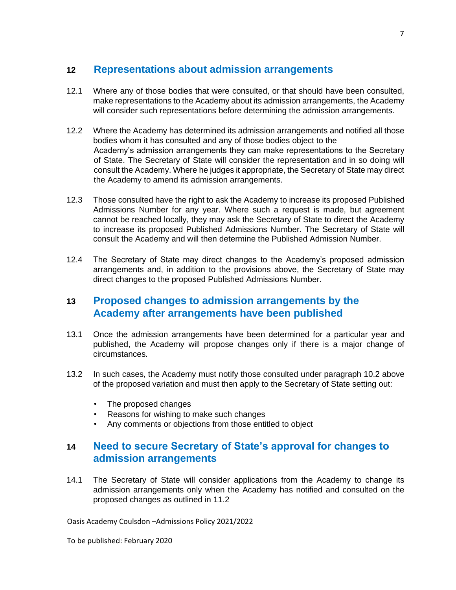# **12 Representations about admission arrangements**

- 12.1 Where any of those bodies that were consulted, or that should have been consulted, make representations to the Academy about its admission arrangements, the Academy will consider such representations before determining the admission arrangements.
- 12.2 Where the Academy has determined its admission arrangements and notified all those bodies whom it has consulted and any of those bodies object to the Academy's admission arrangements they can make representations to the Secretary of State. The Secretary of State will consider the representation and in so doing will consult the Academy. Where he judges it appropriate, the Secretary of State may direct the Academy to amend its admission arrangements.
- 12.3 Those consulted have the right to ask the Academy to increase its proposed Published Admissions Number for any year. Where such a request is made, but agreement cannot be reached locally, they may ask the Secretary of State to direct the Academy to increase its proposed Published Admissions Number. The Secretary of State will consult the Academy and will then determine the Published Admission Number.
- 12.4 The Secretary of State may direct changes to the Academy's proposed admission arrangements and, in addition to the provisions above, the Secretary of State may direct changes to the proposed Published Admissions Number.

### **13 Proposed changes to admission arrangements by the Academy after arrangements have been published**

- 13.1 Once the admission arrangements have been determined for a particular year and published, the Academy will propose changes only if there is a major change of circumstances.
- 13.2 In such cases, the Academy must notify those consulted under paragraph 10.2 above of the proposed variation and must then apply to the Secretary of State setting out:
	- The proposed changes
	- Reasons for wishing to make such changes
	- Any comments or objections from those entitled to object

# **14 Need to secure Secretary of State's approval for changes to admission arrangements**

14.1 The Secretary of State will consider applications from the Academy to change its admission arrangements only when the Academy has notified and consulted on the proposed changes as outlined in 11.2

Oasis Academy Coulsdon –Admissions Policy 2021/2022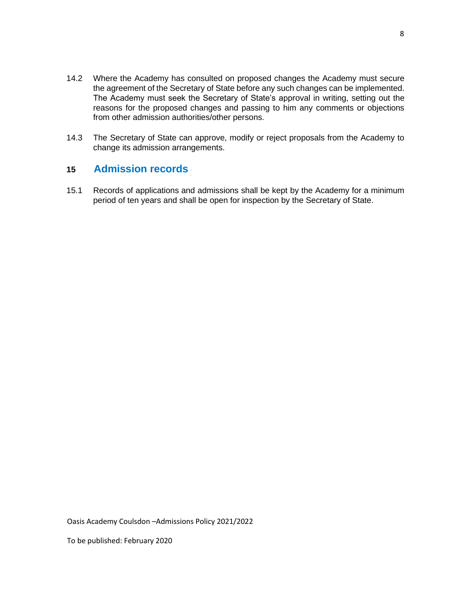- 14.2 Where the Academy has consulted on proposed changes the Academy must secure the agreement of the Secretary of State before any such changes can be implemented. The Academy must seek the Secretary of State's approval in writing, setting out the reasons for the proposed changes and passing to him any comments or objections from other admission authorities/other persons.
- 14.3 The Secretary of State can approve, modify or reject proposals from the Academy to change its admission arrangements.

### **15 Admission records**

15.1 Records of applications and admissions shall be kept by the Academy for a minimum period of ten years and shall be open for inspection by the Secretary of State.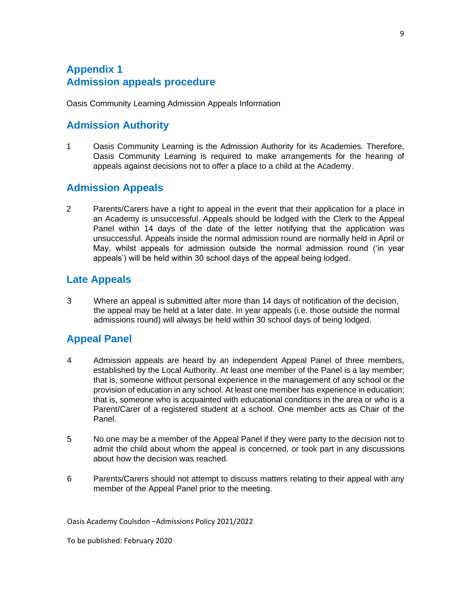# **Appendix 1 Admission appeals procedure**

Oasis Community Learning Admission Appeals Information

#### **Admission Authority**

1 Oasis Community Learning is the Admission Authority for its Academies. Therefore, Oasis Community Learning is required to make arrangements for the hearing of appeals against decisions not to offer a place to a child at the Academy.

# **Admission Appeals**

2 Parents/Carers have a right to appeal in the event that their application for a place in an Academy is unsuccessful. Appeals should be lodged with the Clerk to the Appeal Panel within 14 days of the date of the letter notifying that the application was unsuccessful. Appeals inside the normal admission round are normally held in April or May, whilst appeals for admission outside the normal admission round ('in year appeals') will be held within 30 school days of the appeal being lodged.

# **Late Appeals**

3 Where an appeal is submitted after more than 14 days of notification of the decision, the appeal may be held at a later date. In year appeals (i.e. those outside the normal admissions round) will always be held within 30 school days of being lodged.

# **Appeal Panel**

- 4 Admission appeals are heard by an independent Appeal Panel of three members, established by the Local Authority. At least one member of the Panel is a lay member; that is, someone without personal experience in the management of any school or the provision of education in any school. At least one member has experience in education; that is, someone who is acquainted with educational conditions in the area or who is a Parent/Carer of a registered student at a school. One member acts as Chair of the Panel.
- 5 No one may be a member of the Appeal Panel if they were party to the decision not to admit the child about whom the appeal is concerned, or took part in any discussions about how the decision was reached.
- 6 Parents/Carers should not attempt to discuss matters relating to their appeal with any member of the Appeal Panel prior to the meeting.

Oasis Academy Coulsdon –Admissions Policy 2021/2022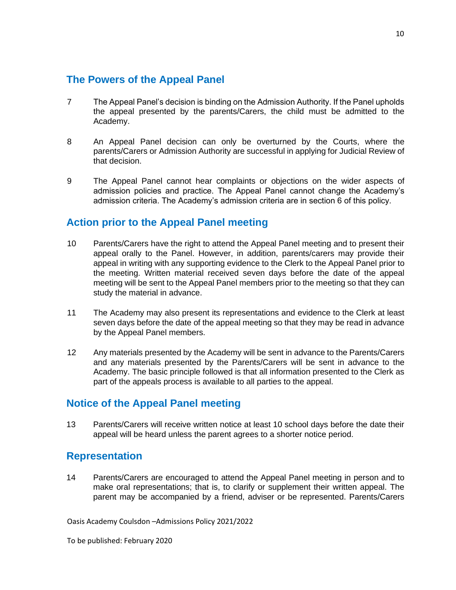#### **The Powers of the Appeal Panel**

- 7 The Appeal Panel's decision is binding on the Admission Authority. If the Panel upholds the appeal presented by the parents/Carers, the child must be admitted to the Academy.
- 8 An Appeal Panel decision can only be overturned by the Courts, where the parents/Carers or Admission Authority are successful in applying for Judicial Review of that decision.
- 9 The Appeal Panel cannot hear complaints or objections on the wider aspects of admission policies and practice. The Appeal Panel cannot change the Academy's admission criteria. The Academy's admission criteria are in section 6 of this policy.

### **Action prior to the Appeal Panel meeting**

- 10 Parents/Carers have the right to attend the Appeal Panel meeting and to present their appeal orally to the Panel. However, in addition, parents/carers may provide their appeal in writing with any supporting evidence to the Clerk to the Appeal Panel prior to the meeting. Written material received seven days before the date of the appeal meeting will be sent to the Appeal Panel members prior to the meeting so that they can study the material in advance.
- 11 The Academy may also present its representations and evidence to the Clerk at least seven days before the date of the appeal meeting so that they may be read in advance by the Appeal Panel members.
- 12 Any materials presented by the Academy will be sent in advance to the Parents/Carers and any materials presented by the Parents/Carers will be sent in advance to the Academy. The basic principle followed is that all information presented to the Clerk as part of the appeals process is available to all parties to the appeal.

### **Notice of the Appeal Panel meeting**

13 Parents/Carers will receive written notice at least 10 school days before the date their appeal will be heard unless the parent agrees to a shorter notice period.

#### **Representation**

14 Parents/Carers are encouraged to attend the Appeal Panel meeting in person and to make oral representations; that is, to clarify or supplement their written appeal. The parent may be accompanied by a friend, adviser or be represented. Parents/Carers

Oasis Academy Coulsdon –Admissions Policy 2021/2022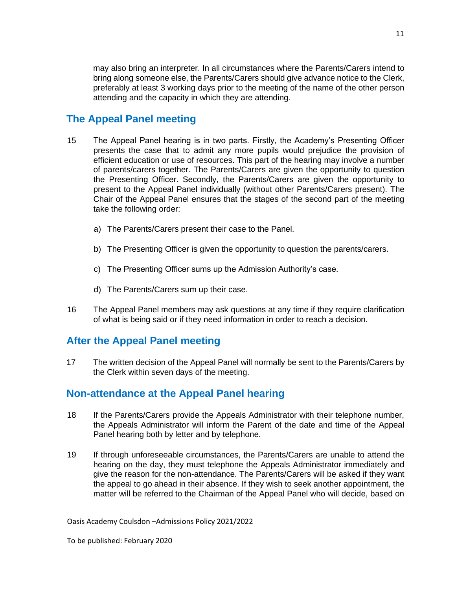may also bring an interpreter. In all circumstances where the Parents/Carers intend to bring along someone else, the Parents/Carers should give advance notice to the Clerk, preferably at least 3 working days prior to the meeting of the name of the other person attending and the capacity in which they are attending.

# **The Appeal Panel meeting**

- 15 The Appeal Panel hearing is in two parts. Firstly, the Academy's Presenting Officer presents the case that to admit any more pupils would prejudice the provision of efficient education or use of resources. This part of the hearing may involve a number of parents/carers together. The Parents/Carers are given the opportunity to question the Presenting Officer. Secondly, the Parents/Carers are given the opportunity to present to the Appeal Panel individually (without other Parents/Carers present). The Chair of the Appeal Panel ensures that the stages of the second part of the meeting take the following order:
	- a) The Parents/Carers present their case to the Panel.
	- b) The Presenting Officer is given the opportunity to question the parents/carers.
	- c) The Presenting Officer sums up the Admission Authority's case.
	- d) The Parents/Carers sum up their case.
- 16 The Appeal Panel members may ask questions at any time if they require clarification of what is being said or if they need information in order to reach a decision.

### **After the Appeal Panel meeting**

17 The written decision of the Appeal Panel will normally be sent to the Parents/Carers by the Clerk within seven days of the meeting.

#### **Non-attendance at the Appeal Panel hearing**

- 18 If the Parents/Carers provide the Appeals Administrator with their telephone number, the Appeals Administrator will inform the Parent of the date and time of the Appeal Panel hearing both by letter and by telephone.
- 19 If through unforeseeable circumstances, the Parents/Carers are unable to attend the hearing on the day, they must telephone the Appeals Administrator immediately and give the reason for the non-attendance. The Parents/Carers will be asked if they want the appeal to go ahead in their absence. If they wish to seek another appointment, the matter will be referred to the Chairman of the Appeal Panel who will decide, based on

Oasis Academy Coulsdon –Admissions Policy 2021/2022